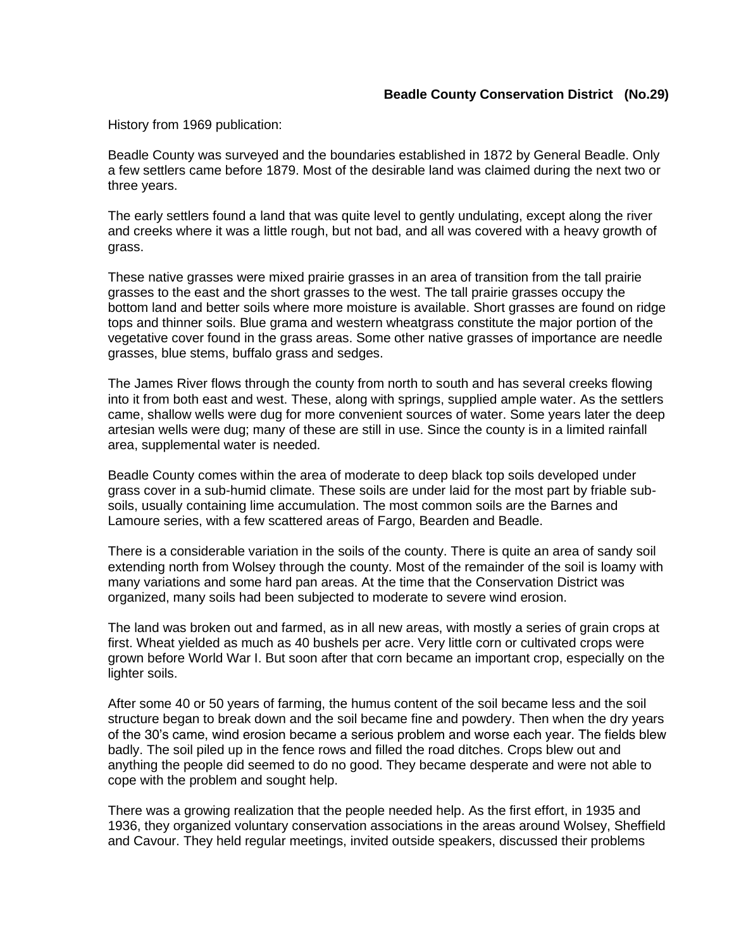History from 1969 publication:

Beadle County was surveyed and the boundaries established in 1872 by General Beadle. Only a few settlers came before 1879. Most of the desirable land was claimed during the next two or three years.

The early settlers found a land that was quite level to gently undulating, except along the river and creeks where it was a little rough, but not bad, and all was covered with a heavy growth of grass.

These native grasses were mixed prairie grasses in an area of transition from the tall prairie grasses to the east and the short grasses to the west. The tall prairie grasses occupy the bottom land and better soils where more moisture is available. Short grasses are found on ridge tops and thinner soils. Blue grama and western wheatgrass constitute the major portion of the vegetative cover found in the grass areas. Some other native grasses of importance are needle grasses, blue stems, buffalo grass and sedges.

The James River flows through the county from north to south and has several creeks flowing into it from both east and west. These, along with springs, supplied ample water. As the settlers came, shallow wells were dug for more convenient sources of water. Some years later the deep artesian wells were dug; many of these are still in use. Since the county is in a limited rainfall area, supplemental water is needed.

Beadle County comes within the area of moderate to deep black top soils developed under grass cover in a sub-humid climate. These soils are under laid for the most part by friable subsoils, usually containing lime accumulation. The most common soils are the Barnes and Lamoure series, with a few scattered areas of Fargo, Bearden and Beadle.

There is a considerable variation in the soils of the county. There is quite an area of sandy soil extending north from Wolsey through the county. Most of the remainder of the soil is loamy with many variations and some hard pan areas. At the time that the Conservation District was organized, many soils had been subjected to moderate to severe wind erosion.

The land was broken out and farmed, as in all new areas, with mostly a series of grain crops at first. Wheat yielded as much as 40 bushels per acre. Very little corn or cultivated crops were grown before World War I. But soon after that corn became an important crop, especially on the lighter soils.

After some 40 or 50 years of farming, the humus content of the soil became less and the soil structure began to break down and the soil became fine and powdery. Then when the dry years of the 30's came, wind erosion became a serious problem and worse each year. The fields blew badly. The soil piled up in the fence rows and filled the road ditches. Crops blew out and anything the people did seemed to do no good. They became desperate and were not able to cope with the problem and sought help.

There was a growing realization that the people needed help. As the first effort, in 1935 and 1936, they organized voluntary conservation associations in the areas around Wolsey, Sheffield and Cavour. They held regular meetings, invited outside speakers, discussed their problems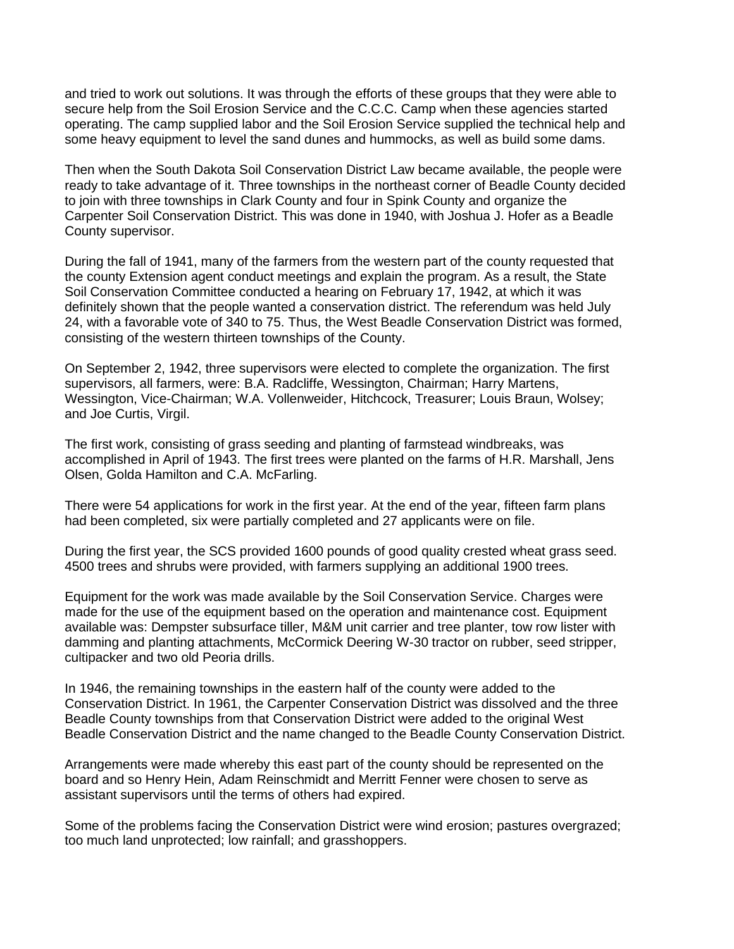and tried to work out solutions. It was through the efforts of these groups that they were able to secure help from the Soil Erosion Service and the C.C.C. Camp when these agencies started operating. The camp supplied labor and the Soil Erosion Service supplied the technical help and some heavy equipment to level the sand dunes and hummocks, as well as build some dams.

Then when the South Dakota Soil Conservation District Law became available, the people were ready to take advantage of it. Three townships in the northeast corner of Beadle County decided to join with three townships in Clark County and four in Spink County and organize the Carpenter Soil Conservation District. This was done in 1940, with Joshua J. Hofer as a Beadle County supervisor.

During the fall of 1941, many of the farmers from the western part of the county requested that the county Extension agent conduct meetings and explain the program. As a result, the State Soil Conservation Committee conducted a hearing on February 17, 1942, at which it was definitely shown that the people wanted a conservation district. The referendum was held July 24, with a favorable vote of 340 to 75. Thus, the West Beadle Conservation District was formed, consisting of the western thirteen townships of the County.

On September 2, 1942, three supervisors were elected to complete the organization. The first supervisors, all farmers, were: B.A. Radcliffe, Wessington, Chairman; Harry Martens, Wessington, Vice-Chairman; W.A. Vollenweider, Hitchcock, Treasurer; Louis Braun, Wolsey; and Joe Curtis, Virgil.

The first work, consisting of grass seeding and planting of farmstead windbreaks, was accomplished in April of 1943. The first trees were planted on the farms of H.R. Marshall, Jens Olsen, Golda Hamilton and C.A. McFarling.

There were 54 applications for work in the first year. At the end of the year, fifteen farm plans had been completed, six were partially completed and 27 applicants were on file.

During the first year, the SCS provided 1600 pounds of good quality crested wheat grass seed. 4500 trees and shrubs were provided, with farmers supplying an additional 1900 trees.

Equipment for the work was made available by the Soil Conservation Service. Charges were made for the use of the equipment based on the operation and maintenance cost. Equipment available was: Dempster subsurface tiller, M&M unit carrier and tree planter, tow row lister with damming and planting attachments, McCormick Deering W-30 tractor on rubber, seed stripper, cultipacker and two old Peoria drills.

In 1946, the remaining townships in the eastern half of the county were added to the Conservation District. In 1961, the Carpenter Conservation District was dissolved and the three Beadle County townships from that Conservation District were added to the original West Beadle Conservation District and the name changed to the Beadle County Conservation District.

Arrangements were made whereby this east part of the county should be represented on the board and so Henry Hein, Adam Reinschmidt and Merritt Fenner were chosen to serve as assistant supervisors until the terms of others had expired.

Some of the problems facing the Conservation District were wind erosion; pastures overgrazed; too much land unprotected; low rainfall; and grasshoppers.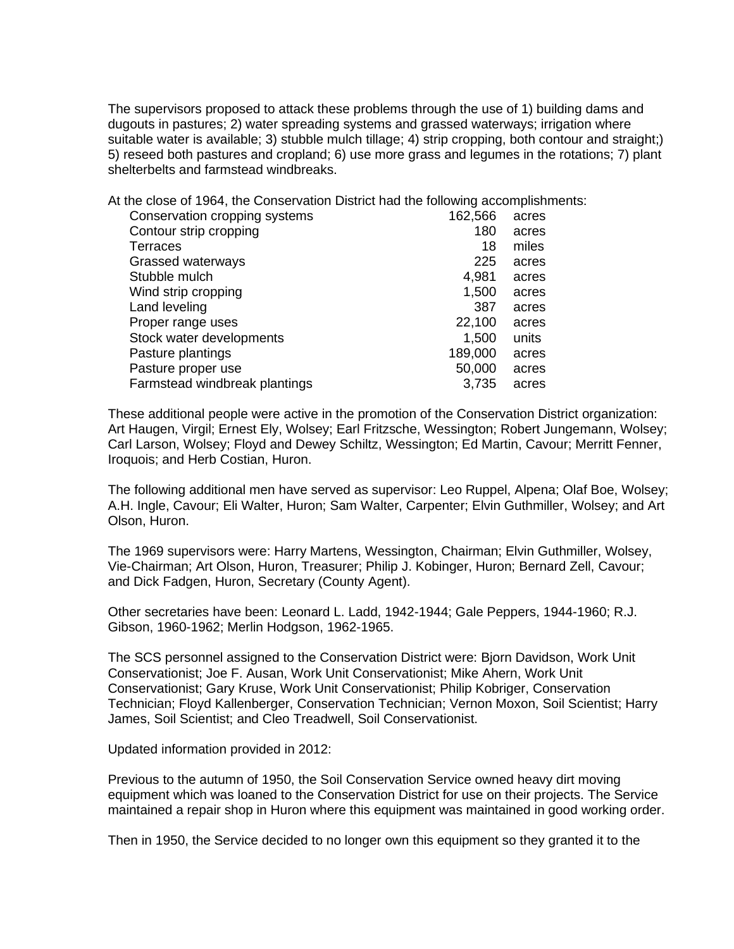The supervisors proposed to attack these problems through the use of 1) building dams and dugouts in pastures; 2) water spreading systems and grassed waterways; irrigation where suitable water is available; 3) stubble mulch tillage; 4) strip cropping, both contour and straight;) 5) reseed both pastures and cropland; 6) use more grass and legumes in the rotations; 7) plant shelterbelts and farmstead windbreaks.

At the close of 1964, the Conservation District had the following accomplishments:

| Conservation cropping systems | 162,566 | acres |
|-------------------------------|---------|-------|
| Contour strip cropping        | 180     | acres |
| Terraces                      | 18      | miles |
| Grassed waterways             | 225     | acres |
| Stubble mulch                 | 4,981   | acres |
| Wind strip cropping           | 1,500   | acres |
| Land leveling                 | 387     | acres |
| Proper range uses             | 22,100  | acres |
| Stock water developments      | 1,500   | units |
| Pasture plantings             | 189,000 | acres |
| Pasture proper use            | 50,000  | acres |
| Farmstead windbreak plantings | 3.735   | acres |

These additional people were active in the promotion of the Conservation District organization: Art Haugen, Virgil; Ernest Ely, Wolsey; Earl Fritzsche, Wessington; Robert Jungemann, Wolsey; Carl Larson, Wolsey; Floyd and Dewey Schiltz, Wessington; Ed Martin, Cavour; Merritt Fenner, Iroquois; and Herb Costian, Huron.

The following additional men have served as supervisor: Leo Ruppel, Alpena; Olaf Boe, Wolsey; A.H. Ingle, Cavour; Eli Walter, Huron; Sam Walter, Carpenter; Elvin Guthmiller, Wolsey; and Art Olson, Huron.

The 1969 supervisors were: Harry Martens, Wessington, Chairman; Elvin Guthmiller, Wolsey, Vie-Chairman; Art Olson, Huron, Treasurer; Philip J. Kobinger, Huron; Bernard Zell, Cavour; and Dick Fadgen, Huron, Secretary (County Agent).

Other secretaries have been: Leonard L. Ladd, 1942-1944; Gale Peppers, 1944-1960; R.J. Gibson, 1960-1962; Merlin Hodgson, 1962-1965.

The SCS personnel assigned to the Conservation District were: Bjorn Davidson, Work Unit Conservationist; Joe F. Ausan, Work Unit Conservationist; Mike Ahern, Work Unit Conservationist; Gary Kruse, Work Unit Conservationist; Philip Kobriger, Conservation Technician; Floyd Kallenberger, Conservation Technician; Vernon Moxon, Soil Scientist; Harry James, Soil Scientist; and Cleo Treadwell, Soil Conservationist.

Updated information provided in 2012:

Previous to the autumn of 1950, the Soil Conservation Service owned heavy dirt moving equipment which was loaned to the Conservation District for use on their projects. The Service maintained a repair shop in Huron where this equipment was maintained in good working order.

Then in 1950, the Service decided to no longer own this equipment so they granted it to the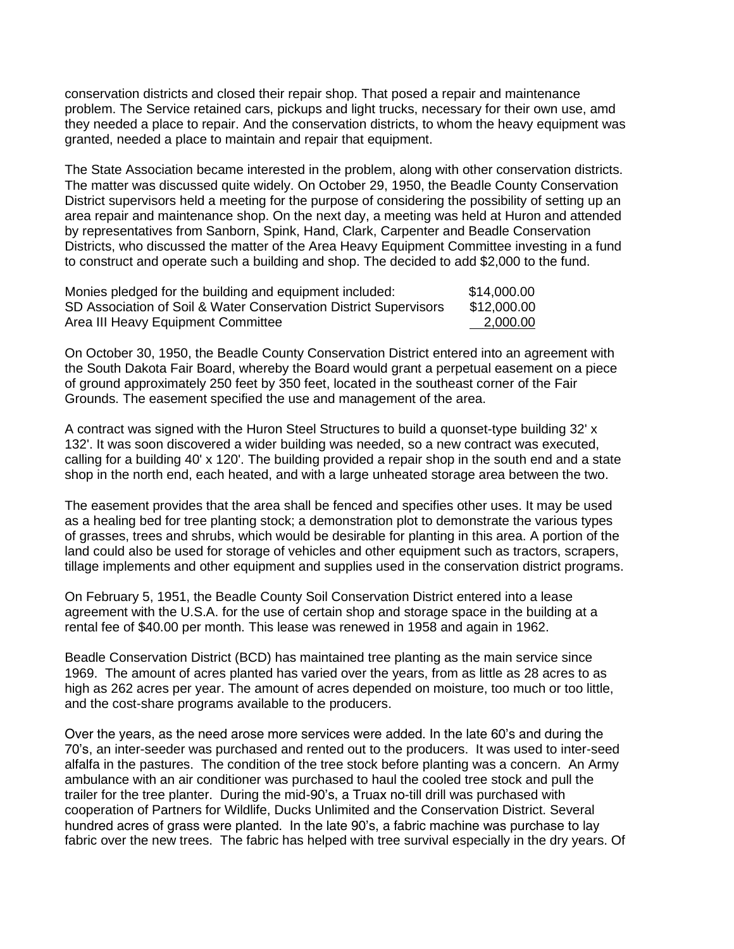conservation districts and closed their repair shop. That posed a repair and maintenance problem. The Service retained cars, pickups and light trucks, necessary for their own use, amd they needed a place to repair. And the conservation districts, to whom the heavy equipment was granted, needed a place to maintain and repair that equipment.

The State Association became interested in the problem, along with other conservation districts. The matter was discussed quite widely. On October 29, 1950, the Beadle County Conservation District supervisors held a meeting for the purpose of considering the possibility of setting up an area repair and maintenance shop. On the next day, a meeting was held at Huron and attended by representatives from Sanborn, Spink, Hand, Clark, Carpenter and Beadle Conservation Districts, who discussed the matter of the Area Heavy Equipment Committee investing in a fund to construct and operate such a building and shop. The decided to add \$2,000 to the fund.

| Monies pledged for the building and equipment included:          | \$14,000.00 |
|------------------------------------------------------------------|-------------|
| SD Association of Soil & Water Conservation District Supervisors | \$12,000.00 |
| Area III Heavy Equipment Committee                               | 2,000.00    |

On October 30, 1950, the Beadle County Conservation District entered into an agreement with the South Dakota Fair Board, whereby the Board would grant a perpetual easement on a piece of ground approximately 250 feet by 350 feet, located in the southeast corner of the Fair Grounds. The easement specified the use and management of the area.

A contract was signed with the Huron Steel Structures to build a quonset-type building 32' x 132'. It was soon discovered a wider building was needed, so a new contract was executed, calling for a building 40' x 120'. The building provided a repair shop in the south end and a state shop in the north end, each heated, and with a large unheated storage area between the two.

The easement provides that the area shall be fenced and specifies other uses. It may be used as a healing bed for tree planting stock; a demonstration plot to demonstrate the various types of grasses, trees and shrubs, which would be desirable for planting in this area. A portion of the land could also be used for storage of vehicles and other equipment such as tractors, scrapers, tillage implements and other equipment and supplies used in the conservation district programs.

On February 5, 1951, the Beadle County Soil Conservation District entered into a lease agreement with the U.S.A. for the use of certain shop and storage space in the building at a rental fee of \$40.00 per month. This lease was renewed in 1958 and again in 1962.

Beadle Conservation District (BCD) has maintained tree planting as the main service since 1969. The amount of acres planted has varied over the years, from as little as 28 acres to as high as 262 acres per year. The amount of acres depended on moisture, too much or too little, and the cost-share programs available to the producers.

Over the years, as the need arose more services were added. In the late 60's and during the 70's, an inter-seeder was purchased and rented out to the producers. It was used to inter-seed alfalfa in the pastures. The condition of the tree stock before planting was a concern. An Army ambulance with an air conditioner was purchased to haul the cooled tree stock and pull the trailer for the tree planter. During the mid-90's, a Truax no-till drill was purchased with cooperation of Partners for Wildlife, Ducks Unlimited and the Conservation District. Several hundred acres of grass were planted. In the late 90's, a fabric machine was purchase to lay fabric over the new trees. The fabric has helped with tree survival especially in the dry years. Of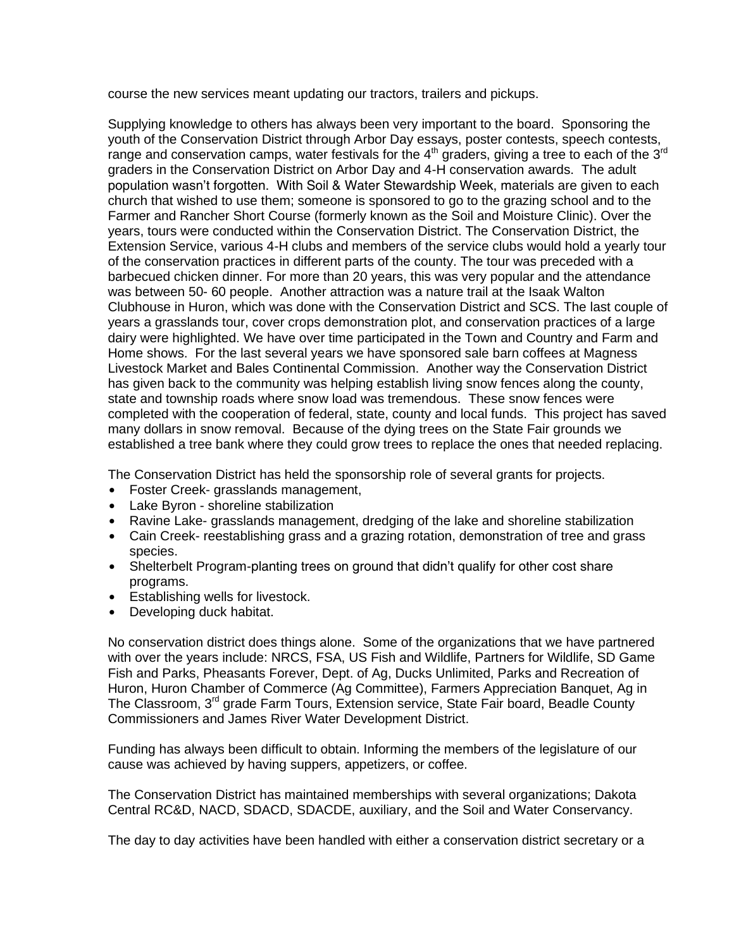course the new services meant updating our tractors, trailers and pickups.

Supplying knowledge to others has always been very important to the board. Sponsoring the youth of the Conservation District through Arbor Day essays, poster contests, speech contests, range and conservation camps, water festivals for the  $4<sup>th</sup>$  graders, giving a tree to each of the  $3<sup>rd</sup>$ graders in the Conservation District on Arbor Day and 4-H conservation awards. The adult population wasn't forgotten. With Soil & Water Stewardship Week, materials are given to each church that wished to use them; someone is sponsored to go to the grazing school and to the Farmer and Rancher Short Course (formerly known as the Soil and Moisture Clinic). Over the years, tours were conducted within the Conservation District. The Conservation District, the Extension Service, various 4-H clubs and members of the service clubs would hold a yearly tour of the conservation practices in different parts of the county. The tour was preceded with a barbecued chicken dinner. For more than 20 years, this was very popular and the attendance was between 50- 60 people. Another attraction was a nature trail at the Isaak Walton Clubhouse in Huron, which was done with the Conservation District and SCS. The last couple of years a grasslands tour, cover crops demonstration plot, and conservation practices of a large dairy were highlighted. We have over time participated in the Town and Country and Farm and Home shows. For the last several years we have sponsored sale barn coffees at Magness Livestock Market and Bales Continental Commission. Another way the Conservation District has given back to the community was helping establish living snow fences along the county, state and township roads where snow load was tremendous. These snow fences were completed with the cooperation of federal, state, county and local funds. This project has saved many dollars in snow removal. Because of the dying trees on the State Fair grounds we established a tree bank where they could grow trees to replace the ones that needed replacing.

The Conservation District has held the sponsorship role of several grants for projects.

- Foster Creek- grasslands management,
- Lake Byron shoreline stabilization
- Ravine Lake- grasslands management, dredging of the lake and shoreline stabilization
- Cain Creek- reestablishing grass and a grazing rotation, demonstration of tree and grass species.
- Shelterbelt Program-planting trees on ground that didn't qualify for other cost share programs.
- $\bullet$  Establishing wells for livestock.
- Developing duck habitat.

No conservation district does things alone. Some of the organizations that we have partnered with over the years include: NRCS, FSA, US Fish and Wildlife, Partners for Wildlife, SD Game Fish and Parks, Pheasants Forever, Dept. of Ag, Ducks Unlimited, Parks and Recreation of Huron, Huron Chamber of Commerce (Ag Committee), Farmers Appreciation Banquet, Ag in The Classroom,  $3<sup>rd</sup>$  grade Farm Tours, Extension service, State Fair board, Beadle County Commissioners and James River Water Development District.

Funding has always been difficult to obtain. Informing the members of the legislature of our cause was achieved by having suppers, appetizers, or coffee.

The Conservation District has maintained memberships with several organizations; Dakota Central RC&D, NACD, SDACD, SDACDE, auxiliary, and the Soil and Water Conservancy.

The day to day activities have been handled with either a conservation district secretary or a